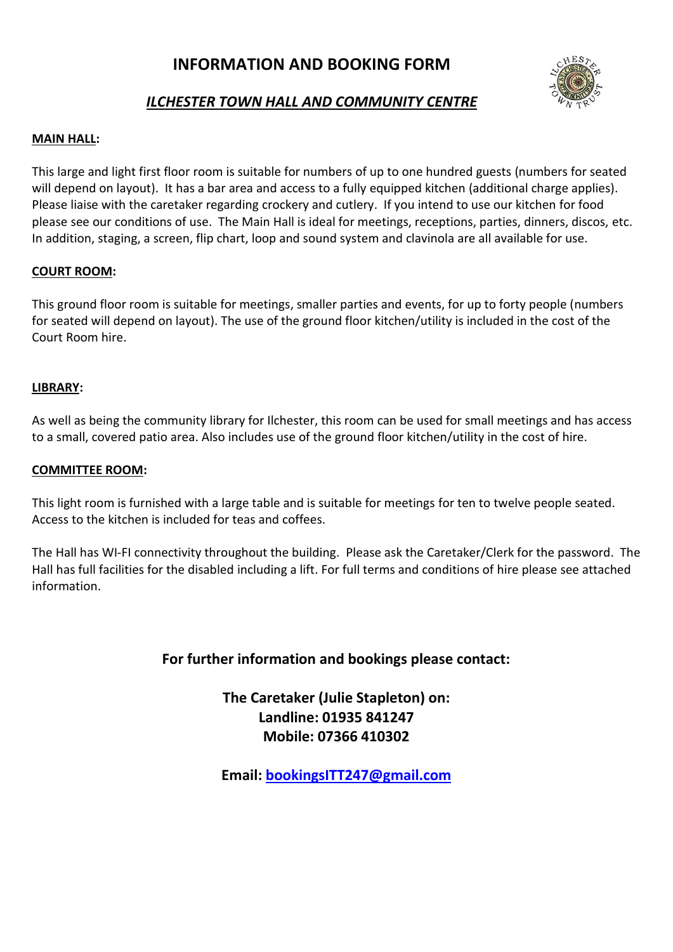# **INFORMATION AND BOOKING FORM**



# *ILCHESTER TOWN HALL AND COMMUNITY CENTRE*

## **MAIN HALL:**

This large and light first floor room is suitable for numbers of up to one hundred guests (numbers for seated will depend on layout). It has a bar area and access to a fully equipped kitchen (additional charge applies). Please liaise with the caretaker regarding crockery and cutlery. If you intend to use our kitchen for food please see our conditions of use. The Main Hall is ideal for meetings, receptions, parties, dinners, discos, etc. In addition, staging, a screen, flip chart, loop and sound system and clavinola are all available for use.

## **COURT ROOM:**

This ground floor room is suitable for meetings, smaller parties and events, for up to forty people (numbers for seated will depend on layout). The use of the ground floor kitchen/utility is included in the cost of the Court Room hire.

## **LIBRARY:**

As well as being the community library for Ilchester, this room can be used for small meetings and has access to a small, covered patio area. Also includes use of the ground floor kitchen/utility in the cost of hire.

## **COMMITTEE ROOM:**

This light room is furnished with a large table and is suitable for meetings for ten to twelve people seated. Access to the kitchen is included for teas and coffees.

The Hall has WI-FI connectivity throughout the building. Please ask the Caretaker/Clerk for the password. The Hall has full facilities for the disabled including a lift. For full terms and conditions of hire please see attached information.

## **For further information and bookings please contact:**

**The Caretaker (Julie Stapleton) on: Landline: 01935 841247 Mobile: 07366 410302**

**Email: [bookingsITT247@gmail.com](mailto:bookingsITT247@gmail.com)**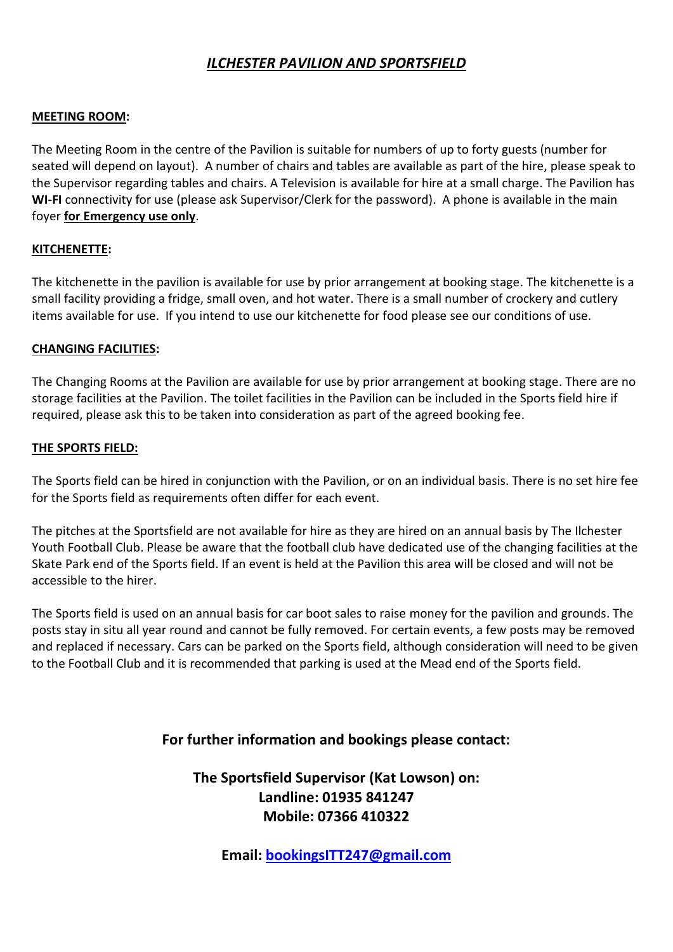# *ILCHESTER PAVILION AND SPORTSFIELD*

## **MEETING ROOM:**

The Meeting Room in the centre of the Pavilion is suitable for numbers of up to forty guests (number for seated will depend on layout). A number of chairs and tables are available as part of the hire, please speak to the Supervisor regarding tables and chairs. A Television is available for hire at a small charge. The Pavilion has **WI-FI** connectivity for use (please ask Supervisor/Clerk for the password). A phone is available in the main foyer **for Emergency use only**.

## **KITCHENETTE:**

The kitchenette in the pavilion is available for use by prior arrangement at booking stage. The kitchenette is a small facility providing a fridge, small oven, and hot water. There is a small number of crockery and cutlery items available for use. If you intend to use our kitchenette for food please see our conditions of use.

## **CHANGING FACILITIES:**

The Changing Rooms at the Pavilion are available for use by prior arrangement at booking stage. There are no storage facilities at the Pavilion. The toilet facilities in the Pavilion can be included in the Sports field hire if required, please ask this to be taken into consideration as part of the agreed booking fee.

## **THE SPORTS FIELD:**

The Sports field can be hired in conjunction with the Pavilion, or on an individual basis. There is no set hire fee for the Sports field as requirements often differ for each event.

The pitches at the Sportsfield are not available for hire as they are hired on an annual basis by The Ilchester Youth Football Club. Please be aware that the football club have dedicated use of the changing facilities at the Skate Park end of the Sports field. If an event is held at the Pavilion this area will be closed and will not be accessible to the hirer.

The Sports field is used on an annual basis for car boot sales to raise money for the pavilion and grounds. The posts stay in situ all year round and cannot be fully removed. For certain events, a few posts may be removed and replaced if necessary. Cars can be parked on the Sports field, although consideration will need to be given to the Football Club and it is recommended that parking is used at the Mead end of the Sports field.

## **For further information and bookings please contact:**

# **The Sportsfield Supervisor (Kat Lowson) on: Landline: 01935 841247 Mobile: 07366 410322**

**Email: [bookingsITT247@gmail.com](mailto:bookingsITT247@gmail.com)**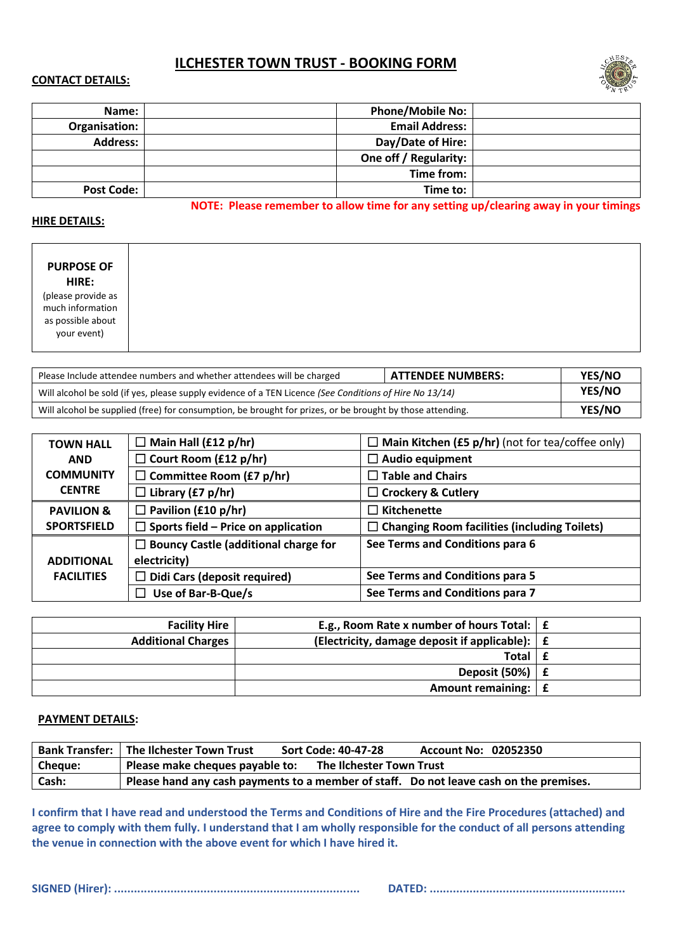# **ILCHESTER TOWN TRUST - BOOKING FORM**

#### **CONTACT DETAILS:**



| Name:             | <b>Phone/Mobile No:</b> |  |
|-------------------|-------------------------|--|
| Organisation:     | <b>Email Address:</b>   |  |
| <b>Address:</b>   | Day/Date of Hire:       |  |
|                   | One off / Regularity:   |  |
|                   | Time from:              |  |
| <b>Post Code:</b> | Time to:                |  |

**NOTE: Please remember to allow time for any setting up/clearing away in your timings**

#### **HIRE DETAILS:**

| Please Include attendee numbers and whether attendees will be charged                                     | ATTENDEE NUMBERS: | <b>YES/NO</b> |
|-----------------------------------------------------------------------------------------------------------|-------------------|---------------|
| Will alcohol be sold (if yes, please supply evidence of a TEN Licence (See Conditions of Hire No 13/14)   |                   |               |
| Will alcohol be supplied (free) for consumption, be brought for prizes, or be brought by those attending. |                   |               |

| <b>TOWN HALL</b>      | $\Box$ Main Hall (£12 p/hr)                 | $\Box$ Main Kitchen (£5 p/hr) (not for tea/coffee only) |
|-----------------------|---------------------------------------------|---------------------------------------------------------|
| <b>AND</b>            | $\Box$ Court Room (£12 p/hr)                | $\Box$ Audio equipment                                  |
| <b>COMMUNITY</b>      | $\Box$ Committee Room (£7 p/hr)             | $\Box$ Table and Chairs                                 |
| <b>CENTRE</b>         | $\Box$ Library (£7 p/hr)                    | $\Box$ Crockery & Cutlery                               |
| <b>PAVILION &amp;</b> | $\Box$ Pavilion (£10 p/hr)                  | $\Box$ Kitchenette                                      |
| <b>SPORTSFIELD</b>    | $\Box$ Sports field – Price on application  | $\Box$ Changing Room facilities (including Toilets)     |
|                       | $\Box$ Bouncy Castle (additional charge for | See Terms and Conditions para 6                         |
| <b>ADDITIONAL</b>     | electricity)                                |                                                         |
| <b>FACILITIES</b>     | $\Box$ Didi Cars (deposit required)         | See Terms and Conditions para 5                         |
|                       | Use of Bar-B-Que/s                          | See Terms and Conditions para 7                         |

|   | E.g., Room Rate x number of hours Total: $\mathbf{f}$ $\mathbf{f}$     | <b>Facility Hire</b>      |
|---|------------------------------------------------------------------------|---------------------------|
|   | (Electricity, damage deposit if applicable): $\mathbf{f}$ $\mathbf{f}$ | <b>Additional Charges</b> |
|   | <b>Total</b>                                                           |                           |
|   | Deposit (50%)                                                          |                           |
| f | Amount remaining:                                                      |                           |

### **PAYMENT DETAILS:**

|         | <b>Bank Transfer:   The Ilchester Town Trust</b><br>Sort Code: 40-47-28<br>Account No: 02052350 |
|---------|-------------------------------------------------------------------------------------------------|
| Cheque: | Please make cheques payable to:<br>The Ilchester Town Trust                                     |
| Cash:   | Please hand any cash payments to a member of staff. Do not leave cash on the premises.          |

**I confirm that I have read and understood the Terms and Conditions of Hire and the Fire Procedures (attached) and agree to comply with them fully. I understand that I am wholly responsible for the conduct of all persons attending the venue in connection with the above event for which I have hired it.**

**SIGNED (Hirer): .......................................................................... DATED: ...........................................................**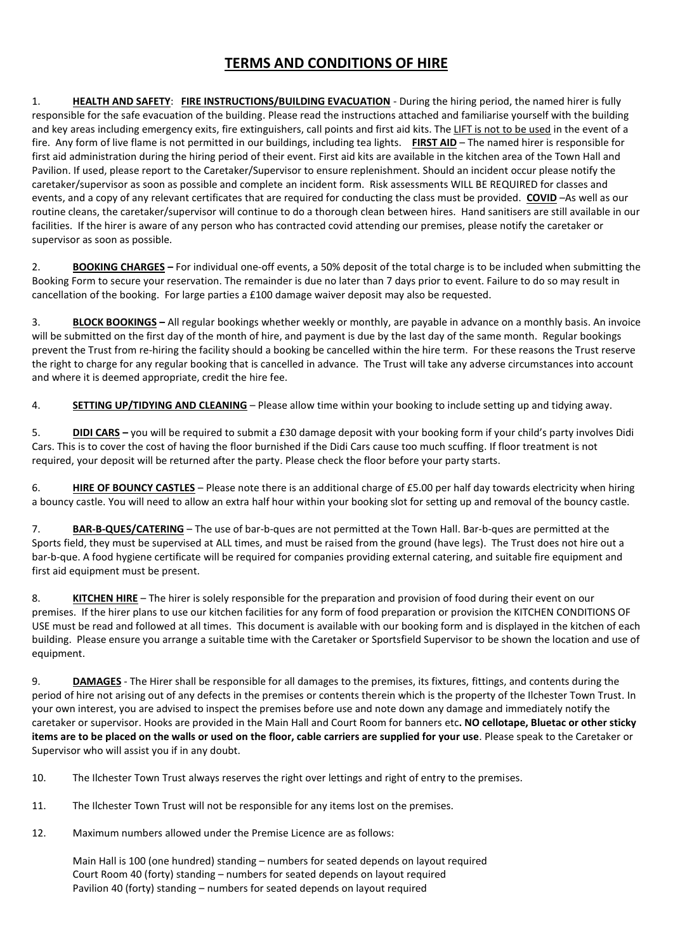# **TERMS AND CONDITIONS OF HIRE**

1. **HEALTH AND SAFETY**: **FIRE INSTRUCTIONS/BUILDING EVACUATION** - During the hiring period, the named hirer is fully responsible for the safe evacuation of the building. Please read the instructions attached and familiarise yourself with the building and key areas including emergency exits, fire extinguishers, call points and first aid kits. The LIFT is not to be used in the event of a fire. Any form of live flame is not permitted in our buildings, including tea lights. **FIRST AID** – The named hirer is responsible for first aid administration during the hiring period of their event. First aid kits are available in the kitchen area of the Town Hall and Pavilion. If used, please report to the Caretaker/Supervisor to ensure replenishment. Should an incident occur please notify the caretaker/supervisor as soon as possible and complete an incident form. Risk assessments WILL BE REQUIRED for classes and events, and a copy of any relevant certificates that are required for conducting the class must be provided. **COVID** –As well as our routine cleans, the caretaker/supervisor will continue to do a thorough clean between hires. Hand sanitisers are still available in our facilities. If the hirer is aware of any person who has contracted covid attending our premises, please notify the caretaker or supervisor as soon as possible.

2. **BOOKING CHARGES –** For individual one-off events, a 50% deposit of the total charge is to be included when submitting the Booking Form to secure your reservation. The remainder is due no later than 7 days prior to event. Failure to do so may result in cancellation of the booking. For large parties a £100 damage waiver deposit may also be requested.

3. **BLOCK BOOKINGS –** All regular bookings whether weekly or monthly, are payable in advance on a monthly basis. An invoice will be submitted on the first day of the month of hire, and payment is due by the last day of the same month. Regular bookings prevent the Trust from re-hiring the facility should a booking be cancelled within the hire term. For these reasons the Trust reserve the right to charge for any regular booking that is cancelled in advance. The Trust will take any adverse circumstances into account and where it is deemed appropriate, credit the hire fee.

4. **SETTING UP/TIDYING AND CLEANING** – Please allow time within your booking to include setting up and tidying away.

5. **DIDI CARS –** you will be required to submit a £30 damage deposit with your booking form if your child's party involves Didi Cars. This is to cover the cost of having the floor burnished if the Didi Cars cause too much scuffing. If floor treatment is not required, your deposit will be returned after the party. Please check the floor before your party starts.

6. **HIRE OF BOUNCY CASTLES** – Please note there is an additional charge of £5.00 per half day towards electricity when hiring a bouncy castle. You will need to allow an extra half hour within your booking slot for setting up and removal of the bouncy castle.

7. **BAR-B-QUES/CATERING** – The use of bar-b-ques are not permitted at the Town Hall. Bar-b-ques are permitted at the Sports field, they must be supervised at ALL times, and must be raised from the ground (have legs). The Trust does not hire out a bar-b-que. A food hygiene certificate will be required for companies providing external catering, and suitable fire equipment and first aid equipment must be present.

8. **KITCHEN HIRE** – The hirer is solely responsible for the preparation and provision of food during their event on our premises. If the hirer plans to use our kitchen facilities for any form of food preparation or provision the KITCHEN CONDITIONS OF USE must be read and followed at all times. This document is available with our booking form and is displayed in the kitchen of each building. Please ensure you arrange a suitable time with the Caretaker or Sportsfield Supervisor to be shown the location and use of equipment.

9. **DAMAGES** - The Hirer shall be responsible for all damages to the premises, its fixtures, fittings, and contents during the period of hire not arising out of any defects in the premises or contents therein which is the property of the Ilchester Town Trust. In your own interest, you are advised to inspect the premises before use and note down any damage and immediately notify the caretaker or supervisor. Hooks are provided in the Main Hall and Court Room for banners etc**. NO cellotape, Bluetac or other sticky items are to be placed on the walls or used on the floor, cable carriers are supplied for your use**. Please speak to the Caretaker or Supervisor who will assist you if in any doubt.

- 10. The Ilchester Town Trust always reserves the right over lettings and right of entry to the premises.
- 11. The Ilchester Town Trust will not be responsible for any items lost on the premises.
- 12. Maximum numbers allowed under the Premise Licence are as follows:

Main Hall is 100 (one hundred) standing – numbers for seated depends on layout required Court Room 40 (forty) standing – numbers for seated depends on layout required Pavilion 40 (forty) standing – numbers for seated depends on layout required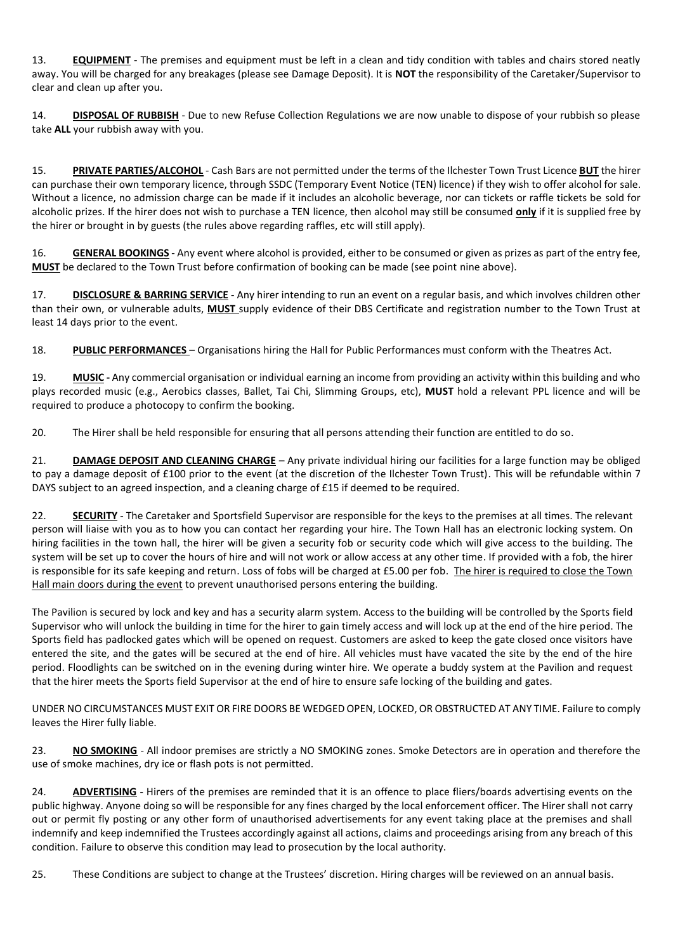13. **EQUIPMENT** - The premises and equipment must be left in a clean and tidy condition with tables and chairs stored neatly away. You will be charged for any breakages (please see Damage Deposit). It is **NOT** the responsibility of the Caretaker/Supervisor to clear and clean up after you.

14. **DISPOSAL OF RUBBISH** - Due to new Refuse Collection Regulations we are now unable to dispose of your rubbish so please take **ALL** your rubbish away with you.

15. **PRIVATE PARTIES/ALCOHOL** - Cash Bars are not permitted under the terms of the Ilchester Town Trust Licence **BUT** the hirer can purchase their own temporary licence, through SSDC (Temporary Event Notice (TEN) licence) if they wish to offer alcohol for sale. Without a licence, no admission charge can be made if it includes an alcoholic beverage, nor can tickets or raffle tickets be sold for alcoholic prizes. If the hirer does not wish to purchase a TEN licence, then alcohol may still be consumed **only** if it is supplied free by the hirer or brought in by guests (the rules above regarding raffles, etc will still apply).

16. **GENERAL BOOKINGS** - Any event where alcohol is provided, either to be consumed or given as prizes as part of the entry fee, **MUST** be declared to the Town Trust before confirmation of booking can be made (see point nine above).

17. **DISCLOSURE & BARRING SERVICE** - Any hirer intending to run an event on a regular basis, and which involves children other than their own, or vulnerable adults, **MUST** supply evidence of their DBS Certificate and registration number to the Town Trust at least 14 days prior to the event.

18. **PUBLIC PERFORMANCES** – Organisations hiring the Hall for Public Performances must conform with the Theatres Act.

19. **MUSIC -** Any commercial organisation or individual earning an income from providing an activity within this building and who plays recorded music (e.g., Aerobics classes, Ballet, Tai Chi, Slimming Groups, etc), **MUST** hold a relevant PPL licence and will be required to produce a photocopy to confirm the booking.

20. The Hirer shall be held responsible for ensuring that all persons attending their function are entitled to do so.

21. **DAMAGE DEPOSIT AND CLEANING CHARGE** – Any private individual hiring our facilities for a large function may be obliged to pay a damage deposit of £100 prior to the event (at the discretion of the Ilchester Town Trust). This will be refundable within 7 DAYS subject to an agreed inspection, and a cleaning charge of £15 if deemed to be required.

22. **SECURITY** - The Caretaker and Sportsfield Supervisor are responsible for the keys to the premises at all times. The relevant person will liaise with you as to how you can contact her regarding your hire. The Town Hall has an electronic locking system. On hiring facilities in the town hall, the hirer will be given a security fob or security code which will give access to the building. The system will be set up to cover the hours of hire and will not work or allow access at any other time. If provided with a fob, the hirer is responsible for its safe keeping and return. Loss of fobs will be charged at £5.00 per fob. The hirer is required to close the Town Hall main doors during the event to prevent unauthorised persons entering the building.

The Pavilion is secured by lock and key and has a security alarm system. Access to the building will be controlled by the Sports field Supervisor who will unlock the building in time for the hirer to gain timely access and will lock up at the end of the hire period. The Sports field has padlocked gates which will be opened on request. Customers are asked to keep the gate closed once visitors have entered the site, and the gates will be secured at the end of hire. All vehicles must have vacated the site by the end of the hire period. Floodlights can be switched on in the evening during winter hire. We operate a buddy system at the Pavilion and request that the hirer meets the Sports field Supervisor at the end of hire to ensure safe locking of the building and gates.

UNDER NO CIRCUMSTANCES MUST EXIT OR FIRE DOORS BE WEDGED OPEN, LOCKED, OR OBSTRUCTED AT ANY TIME. Failure to comply leaves the Hirer fully liable.

23. **NO SMOKING** - All indoor premises are strictly a NO SMOKING zones. Smoke Detectors are in operation and therefore the use of smoke machines, dry ice or flash pots is not permitted.

24. **ADVERTISING** - Hirers of the premises are reminded that it is an offence to place fliers/boards advertising events on the public highway. Anyone doing so will be responsible for any fines charged by the local enforcement officer. The Hirer shall not carry out or permit fly posting or any other form of unauthorised advertisements for any event taking place at the premises and shall indemnify and keep indemnified the Trustees accordingly against all actions, claims and proceedings arising from any breach of this condition. Failure to observe this condition may lead to prosecution by the local authority.

25. These Conditions are subject to change at the Trustees' discretion. Hiring charges will be reviewed on an annual basis.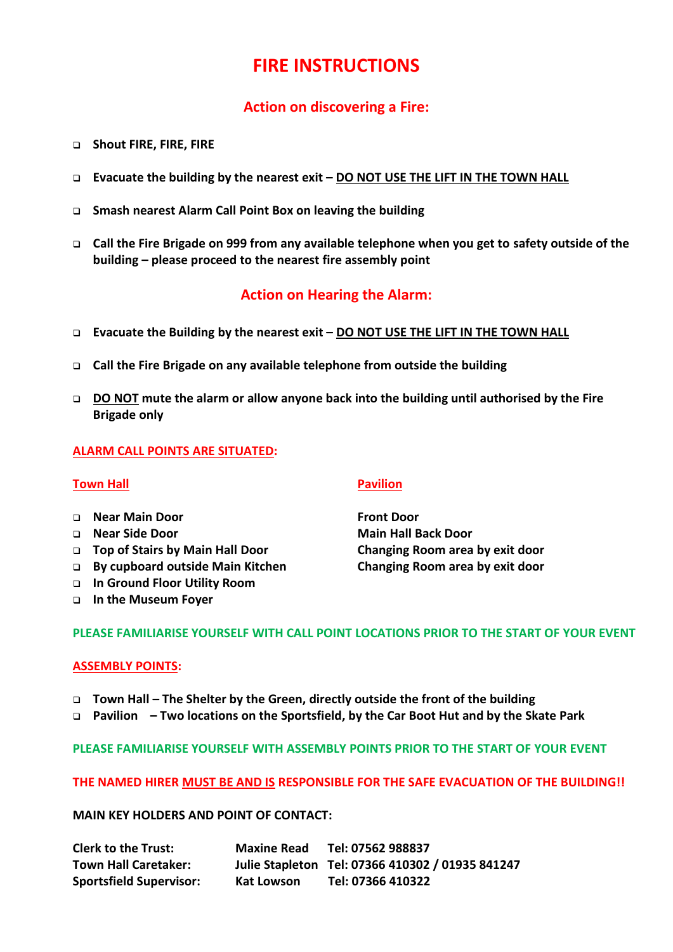# **FIRE INSTRUCTIONS**

# **Action on discovering a Fire:**

- ❑ **Shout FIRE, FIRE, FIRE**
- ❑ **Evacuate the building by the nearest exit – DO NOT USE THE LIFT IN THE TOWN HALL**
- ❑ **Smash nearest Alarm Call Point Box on leaving the building**
- ❑ **Call the Fire Brigade on 999 from any available telephone when you get to safety outside of the building – please proceed to the nearest fire assembly point**

# **Action on Hearing the Alarm:**

- ❑ **Evacuate the Building by the nearest exit – DO NOT USE THE LIFT IN THE TOWN HALL**
- ❑ **Call the Fire Brigade on any available telephone from outside the building**
- ❑ **DO NOT mute the alarm or allow anyone back into the building until authorised by the Fire Brigade only**

## **ALARM CALL POINTS ARE SITUATED:**

### **Town Hall Pavilion**

- ❑ **Near Main Door Front Door**
- 
- ❑ **Top of Stairs by Main Hall Door Changing Room area by exit door**
- ❑ **By cupboard outside Main Kitchen Changing Room area by exit door**
- ❑ **In Ground Floor Utility Room**
- ❑ **In the Museum Foyer**

❑ **Near Side Door Main Hall Back Door**

### **PLEASE FAMILIARISE YOURSELF WITH CALL POINT LOCATIONS PRIOR TO THE START OF YOUR EVENT**

### **ASSEMBLY POINTS:**

- ❑ **Town Hall – The Shelter by the Green, directly outside the front of the building**
- ❑ **Pavilion – Two locations on the Sportsfield, by the Car Boot Hut and by the Skate Park**

**PLEASE FAMILIARISE YOURSELF WITH ASSEMBLY POINTS PRIOR TO THE START OF YOUR EVENT**

## **THE NAMED HIRER MUST BE AND IS RESPONSIBLE FOR THE SAFE EVACUATION OF THE BUILDING!!**

**MAIN KEY HOLDERS AND POINT OF CONTACT:**

| <b>Clerk to the Trust:</b>     | <b>Maxine Read</b> | Tel: 07562 988837                                |
|--------------------------------|--------------------|--------------------------------------------------|
| <b>Town Hall Caretaker:</b>    |                    | Julie Stapleton Tel: 07366 410302 / 01935 841247 |
| <b>Sportsfield Supervisor:</b> | Kat Lowson         | Tel: 07366 410322                                |